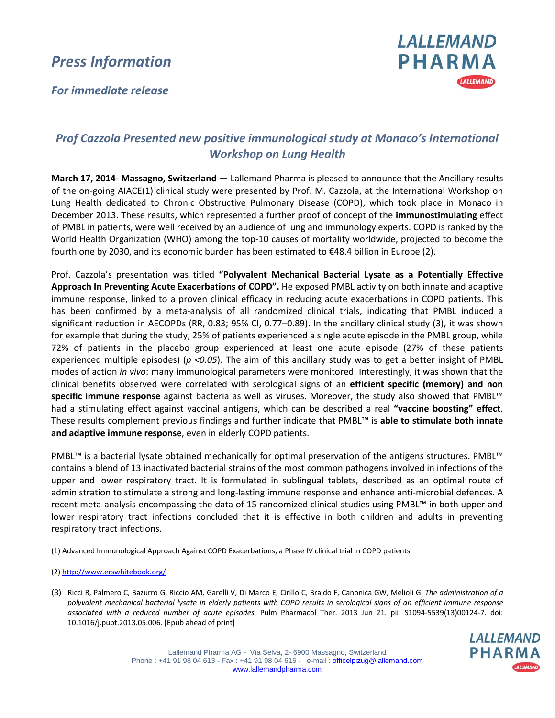## *Press Information*





## *Prof Cazzola Presented new positive immunological study at Monaco's International Workshop on Lung Health*

**March 17, 2014- Massagno, Switzerland —** Lallemand Pharma is pleased to announce that the Ancillary results of the on-going AIACE(1) clinical study were presented by Prof. M. Cazzola, at the International Workshop on Lung Health dedicated to Chronic Obstructive Pulmonary Disease (COPD), which took place in Monaco in December 2013. These results, which represented a further proof of concept of the **immunostimulating** effect of PMBL in patients, were well received by an audience of lung and immunology experts. COPD is ranked by the World Health Organization (WHO) among the top-10 causes of mortality worldwide, projected to become the fourth one by 2030, and its economic burden has been estimated to €48.4 billion in Europe (2).

Prof. Cazzola's presentation was titled **"Polyvalent Mechanical Bacterial Lysate as a Potentially Effective Approach In Preventing Acute Exacerbations of COPD".** He exposed PMBL activity on both innate and adaptive immune response, linked to a proven clinical efficacy in reducing acute exacerbations in COPD patients. This has been confirmed by a meta-analysis of all randomized clinical trials, indicating that PMBL induced a significant reduction in AECOPDs (RR, 0.83; 95% CI, 0.77–0.89). In the ancillary clinical study (3), it was shown for example that during the study, 25% of patients experienced a single acute episode in the PMBL group, while 72% of patients in the placebo group experienced at least one acute episode (27% of these patients experienced multiple episodes) (*p <0.05*). The aim of this ancillary study was to get a better insight of PMBL modes of action *in vivo*: many immunological parameters were monitored. Interestingly, it was shown that the clinical benefits observed were correlated with serological signs of an **efficient specific (memory) and non specific immune response** against bacteria as well as viruses. Moreover, the study also showed that PMBL™ had a stimulating effect against vaccinal antigens, which can be described a real **"vaccine boosting" effect**. These results complement previous findings and further indicate that PMBL™ is **able to stimulate both innate and adaptive immune response**, even in elderly COPD patients.

PMBL™ is a bacterial lysate obtained mechanically for optimal preservation of the antigens structures. PMBL™ contains a blend of 13 inactivated bacterial strains of the most common pathogens involved in infections of the upper and lower respiratory tract. It is formulated in sublingual tablets, described as an optimal route of administration to stimulate a strong and long-lasting immune response and enhance anti-microbial defences. A recent meta-analysis encompassing the data of 15 randomized clinical studies using PMBL™ in both upper and lower respiratory tract infections concluded that it is effective in both children and adults in preventing respiratory tract infections.

(1) Advanced Immunological Approach Against COPD Exacerbations, a Phase IV clinical trial in COPD patients

(2)<http://www.erswhitebook.org/>

(3) Ricci R, Palmero C, Bazurro G, Riccio AM, Garelli V, Di Marco E, Cirillo C, Braido F, Canonica GW, Melioli G. *The administration of a polyvalent mechanical bacterial lysate in elderly patients with COPD results in serological signs of an efficient immune response associated with a reduced number of acute episodes.* Pulm Pharmacol Ther. 2013 Jun 21. pii: S1094-5539(13)00124-7. doi: 10.1016/j.pupt.2013.05.006. [Epub ahead of print]